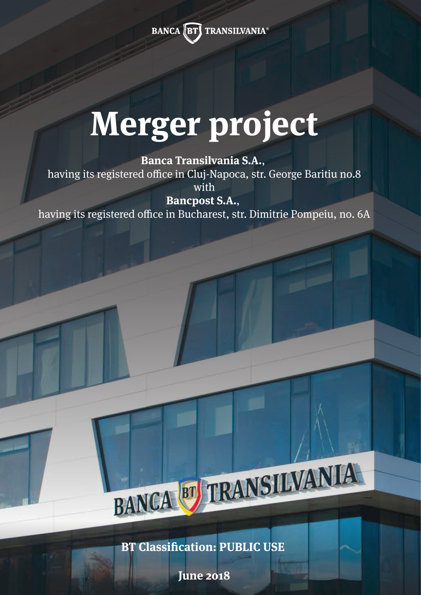**BANCA FT TRANSILVANIA®** 

# **Merger project**

**Banca Transilvania S.A.**, having its registered office in Cluj-Napoca, str. George Baritiu no.8 with

**Bancpost S.A.**, having its registered office in Bucharest, str. Dimitrie Pompeiu, no. 6A

**BT Classification: PUBLIC USE** 

BANCA BT TRANSILVANIA

**June 2018**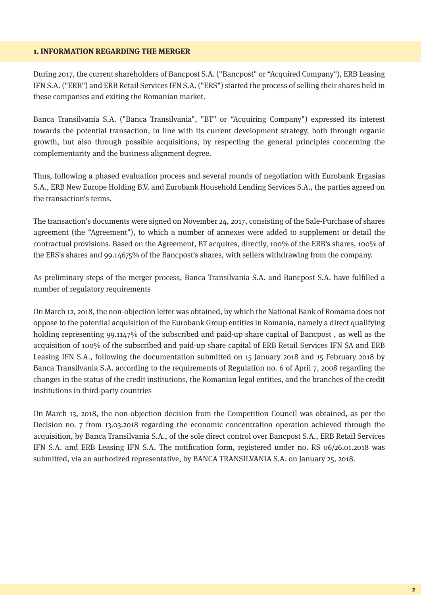#### **1. INFORMATION REGARDING THE MERGER**

During 2017, the current shareholders of Bancpost S.A. ("Bancpost" or "Acquired Company"), ERB Leasing IFN S.A. ("ERB") and ERB Retail Services IFN S.A. ("ERS") started the process of selling their shares held in these companies and exiting the Romanian market.

Banca Transilvania S.A. ("Banca Transilvania", "BT" or "Acquiring Company") expressed its interest towards the potential transaction, in line with its current development strategy, both through organic growth, but also through possible acquisitions, by respecting the general principles concerning the complementarity and the business alignment degree.

Thus, following a phased evaluation process and several rounds of negotiation with Eurobank Ergasias S.A., ERB New Europe Holding B.V. and Eurobank Household Lending Services S.A., the parties agreed on the transaction's terms.

The transaction's documents were signed on November 24, 2017, consisting of the Sale-Purchase of shares agreement (the "Agreement"), to which a number of annexes were added to supplement or detail the contractual provisions. Based on the Agreement, BT acquires, directly, 100% of the ERB's shares, 100% of the ERS's shares and 99.14675% of the Bancpost's shares, with sellers withdrawing from the company.

As preliminary steps of the merger process, Banca Transilvania S.A. and Bancpost S.A. have fullled a number of regulatory requirements

On March 12, 2018, the non-objection letter was obtained, by which the National Bank of Romania does not oppose to the potential acquisition of the Eurobank Group entities in Romania, namely a direct qualifying holding representing 99.1147% of the subscribed and paid-up share capital of Bancpost, as well as the acquisition of 100% of the subscribed and paid-up share capital of ERB Retail Services IFN SA and ERB Leasing IFN S.A., following the documentation submitted on 15 January 2018 and 15 February 2018 by Banca Transilvania S.A. according to the requirements of Regulation no. 6 of April 7, 2008 regarding the changes in the status of the credit institutions, the Romanian legal entities, and the branches of the credit institutions in third-party countries

On March 13, 2018, the non-objection decision from the Competition Council was obtained, as per the Decision no. 7 from 13.03.2018 regarding the economic concentration operation achieved through the acquisition, by Banca Transilvania S.A., of the sole direct control over Bancpost S.A., ERB Retail Services IFN S.A. and ERB Leasing IFN S.A. The notification form, registered under no. RS 06/26.01.2018 was submitted, via an authorized representative, by BANCA TRANSILVANIA S.A. on January 25, 2018.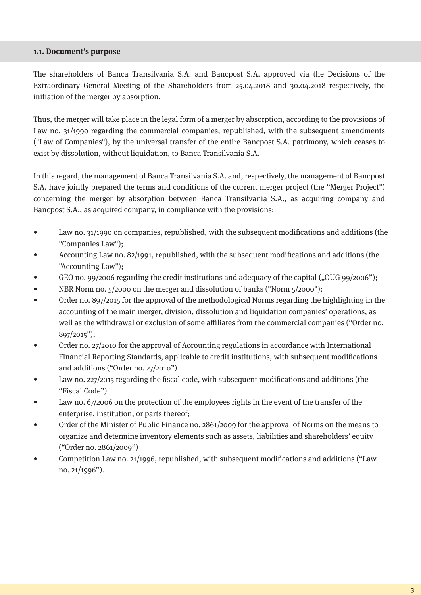#### **1.1. Document's purpose**

The shareholders of Banca Transilvania S.A. and Bancpost S.A. approved via the Decisions of the Extraordinary General Meeting of the Shareholders from 25.04.2018 and 30.04.2018 respectively, the initiation of the merger by absorption.

Thus, the merger will take place in the legal form of a merger by absorption, according to the provisions of Law no. 31/1990 regarding the commercial companies, republished, with the subsequent amendments ("Law of Companies"), by the universal transfer of the entire Bancpost S.A. patrimony, which ceases to exist by dissolution, without liquidation, to Banca Transilvania S.A.

In this regard, the management of Banca Transilvania S.A. and, respectively, the management of Bancpost S.A. have jointly prepared the terms and conditions of the current merger project (the "Merger Project") concerning the merger by absorption between Banca Transilvania S.A., as acquiring company and Bancpost S.A., as acquired company, in compliance with the provisions:

- Law no. 31/1990 on companies, republished, with the subsequent modifications and additions (the "Companies Law");
- Accounting Law no. 82/1991, republished, with the subsequent modifications and additions (the "Accounting Law");
- GEO no. 99/2006 regarding the credit institutions and adequacy of the capital ("OUG 99/2006");
- NBR Norm no. 5/2000 on the merger and dissolution of banks ("Norm 5/2000");
- Order no. 897/2015 for the approval of the methodological Norms regarding the highlighting in the accounting of the main merger, division, dissolution and liquidation companies' operations, as well as the withdrawal or exclusion of some affiliates from the commercial companies ("Order no. 897/2015");
- Order no. 27/2010 for the approval of Accounting regulations in accordance with International Financial Reporting Standards, applicable to credit institutions, with subsequent modifications and additions ("Order no. 27/2010")
- Law no. 227/2015 regarding the fiscal code, with subsequent modifications and additions (the "Fiscal Code")
- Law no. 67/2006 on the protection of the employees rights in the event of the transfer of the enterprise, institution, or parts thereof;
- Order of the Minister of Public Finance no. 2861/2009 for the approval of Norms on the means to organize and determine inventory elements such as assets, liabilities and shareholders' equity ("Order no. 2861/2009")
- Competition Law no.  $21/1996$ , republished, with subsequent modifications and additions ("Law no. 21/1996").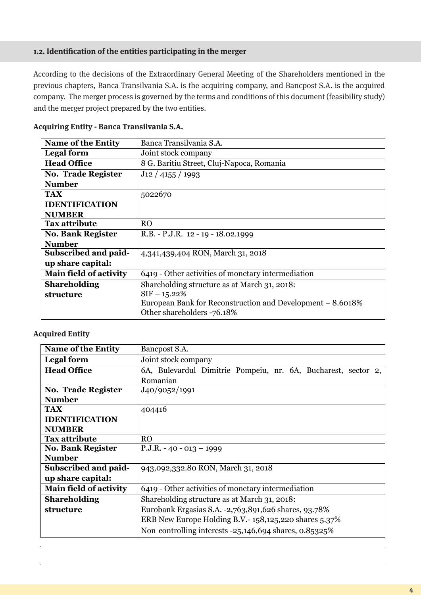## **1.2. Identication of the entities participating in the merger**

According to the decisions of the Extraordinary General Meeting of the Shareholders mentioned in the previous chapters, Banca Transilvania S.A. is the acquiring company, and Bancpost S.A. is the acquired company. The merger process is governed by the terms and conditions of this document (feasibility study) and the merger project prepared by the two entities.

| <b>Name of the Entity</b>     | Banca Transilvania S.A.                                                                  |  |
|-------------------------------|------------------------------------------------------------------------------------------|--|
| <b>Legal form</b>             | Joint stock company                                                                      |  |
| <b>Head Office</b>            | 8 G. Baritiu Street, Cluj-Napoca, Romania                                                |  |
| <b>No. Trade Register</b>     | $J$ 12 / 4155 / 1993                                                                     |  |
| <b>Number</b>                 |                                                                                          |  |
| <b>TAX</b>                    | 5022670                                                                                  |  |
| <b>IDENTIFICATION</b>         |                                                                                          |  |
| <b>NUMBER</b>                 |                                                                                          |  |
| <b>Tax attribute</b>          | <b>RO</b>                                                                                |  |
| <b>No. Bank Register</b>      | R.B. - P.J.R. 12 - 19 - 18.02.1999                                                       |  |
| <b>Number</b>                 |                                                                                          |  |
| Subscribed and paid-          | 4,341,439,404 RON, March 31, 2018                                                        |  |
| up share capital:             |                                                                                          |  |
| <b>Main field of activity</b> | 6419 - Other activities of monetary intermediation                                       |  |
| <b>Shareholding</b>           | Shareholding structure as at March 31, 2018:                                             |  |
| structure                     | $SIF - 15.22%$                                                                           |  |
|                               | European Bank for Reconstruction and Development – 8.6018%<br>Other shareholders -76.18% |  |

#### **Acquiring Entity - Banca Transilvania S.A.**

#### **Acquired Entity**

| <b>Name of the Entity</b>     | Bancpost S.A.                                                 |  |
|-------------------------------|---------------------------------------------------------------|--|
| <b>Legal form</b>             | Joint stock company                                           |  |
| <b>Head Office</b>            | 6A, Bulevardul Dimitrie Pompeiu, nr. 6A, Bucharest, sector 2, |  |
|                               | Romanian                                                      |  |
| <b>No. Trade Register</b>     | J <sub>40</sub> /9052/1991                                    |  |
| <b>Number</b>                 |                                                               |  |
| TAX                           | 404416                                                        |  |
| <b>IDENTIFICATION</b>         |                                                               |  |
| <b>NUMBER</b>                 |                                                               |  |
| Tax attribute                 | R <sub>O</sub>                                                |  |
| <b>No. Bank Register</b>      | $P.J.R. - 40 - 013 - 1999$                                    |  |
| <b>Number</b>                 |                                                               |  |
| Subscribed and paid-          | 943,092,332.80 RON, March 31, 2018                            |  |
| up share capital:             |                                                               |  |
| <b>Main field of activity</b> | 6419 - Other activities of monetary intermediation            |  |
| <b>Shareholding</b>           | Shareholding structure as at March 31, 2018:                  |  |
| structure                     | Eurobank Ergasias S.A. -2,763,891,626 shares, 93.78%          |  |
|                               | ERB New Europe Holding B.V.-158,125,220 shares 5.37%          |  |
|                               | Non controlling interests -25,146,694 shares, 0.85325%        |  |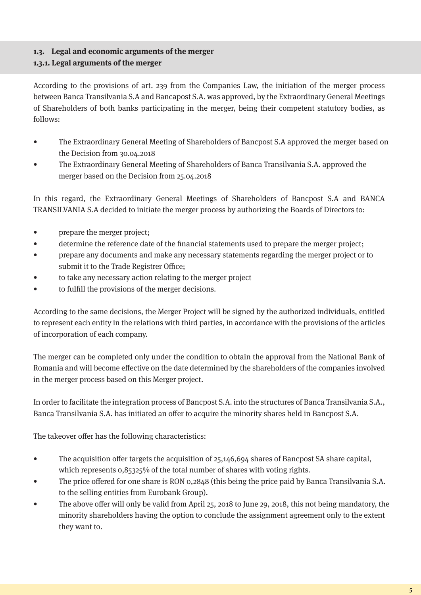# **1.3. Legal and economic arguments of the merger**

## **1.3.1. Legal arguments of the merger**

According to the provisions of art. 239 from the Companies Law, the initiation of the merger process between Banca Transilvania S.A and Bancapost S.A. was approved, by the Extraordinary General Meetings of Shareholders of both banks participating in the merger, being their competent statutory bodies, as follows:

- The Extraordinary General Meeting of Shareholders of Bancpost S.A approved the merger based on the Decision from 30.04.2018
- The Extraordinary General Meeting of Shareholders of Banca Transilvania S.A. approved the merger based on the Decision from 25.04.2018

In this regard, the Extraordinary General Meetings of Shareholders of Bancpost S.A and BANCA TRANSILVANIA S.A decided to initiate the merger process by authorizing the Boards of Directors to:

- prepare the merger project;
- determine the reference date of the financial statements used to prepare the merger project;
- prepare any documents and make any necessary statements regarding the merger project or to submit it to the Trade Registrer Office;
- to take any necessary action relating to the merger project
- to fulfill the provisions of the merger decisions.

According to the same decisions, the Merger Project will be signed by the authorized individuals, entitled to represent each entity in the relations with third parties, in accordance with the provisions of the articles of incorporation of each company.

The merger can be completed only under the condition to obtain the approval from the National Bank of Romania and will become effective on the date determined by the shareholders of the companies involved in the merger process based on this Merger project.

In order to facilitate the integration process of Bancpost S.A. into the structures of Banca Transilvania S.A., Banca Transilvania S.A. has initiated an offer to acquire the minority shares held in Bancpost S.A.

The takeover offer has the following characteristics:

- The acquisition of er targets the acquisition of  $25,146,694$  shares of Bancpost SA share capital, which represents 0,85325% of the total number of shares with voting rights.
- The price offered for one share is RON 0,2848 (this being the price paid by Banca Transilvania S.A. to the selling entities from Eurobank Group).
- The above offer will only be valid from April 25, 2018 to June 29, 2018, this not being mandatory, the minority shareholders having the option to conclude the assignment agreement only to the extent they want to.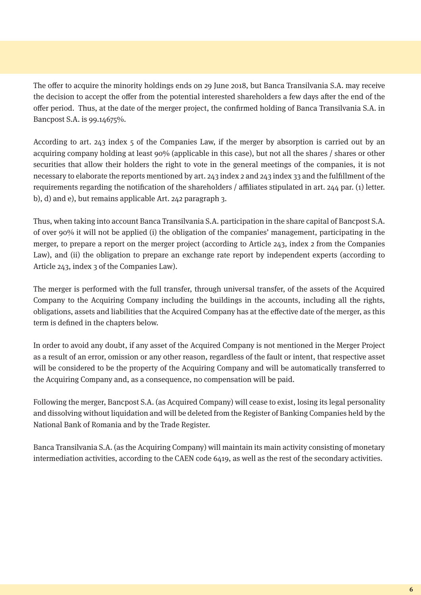The offer to acquire the minority holdings ends on 29 June 2018, but Banca Transilvania S.A. may receive the decision to accept the offer from the potential interested shareholders a few days after the end of the offer period. Thus, at the date of the merger project, the confirmed holding of Banca Transilvania S.A. in Bancpost S.A. is 99.14675%.

According to art. 243 index 5 of the Companies Law, if the merger by absorption is carried out by an acquiring company holding at least 90% (applicable in this case), but not all the shares / shares or other securities that allow their holders the right to vote in the general meetings of the companies, it is not necessary to elaborate the reports mentioned by art. 243 index 2 and 243 index 33 and the fulllment of the requirements regarding the notification of the shareholders / affiliates stipulated in art. 244 par. (1) letter. b), d) and e), but remains applicable Art. 242 paragraph 3.

Thus, when taking into account Banca Transilvania S.A. participation in the share capital of Bancpost S.A. of over 90% it will not be applied (i) the obligation of the companies' management, participating in the merger, to prepare a report on the merger project (according to Article 243, index 2 from the Companies Law), and (ii) the obligation to prepare an exchange rate report by independent experts (according to Article 243, index 3 of the Companies Law).

The merger is performed with the full transfer, through universal transfer, of the assets of the Acquired Company to the Acquiring Company including the buildings in the accounts, including all the rights, obligations, assets and liabilities that the Acquired Company has at the effective date of the merger, as this term is defined in the chapters below.

In order to avoid any doubt, if any asset of the Acquired Company is not mentioned in the Merger Project as a result of an error, omission or any other reason, regardless of the fault or intent, that respective asset will be considered to be the property of the Acquiring Company and will be automatically transferred to the Acquiring Company and, as a consequence, no compensation will be paid.

Following the merger, Bancpost S.A. (as Acquired Company) will cease to exist, losing its legal personality and dissolving without liquidation and will be deleted from the Register of Banking Companies held by the National Bank of Romania and by the Trade Register.

Banca Transilvania S.A. (as the Acquiring Company) will maintain its main activity consisting of monetary intermediation activities, according to the CAEN code 6419, as well as the rest of the secondary activities.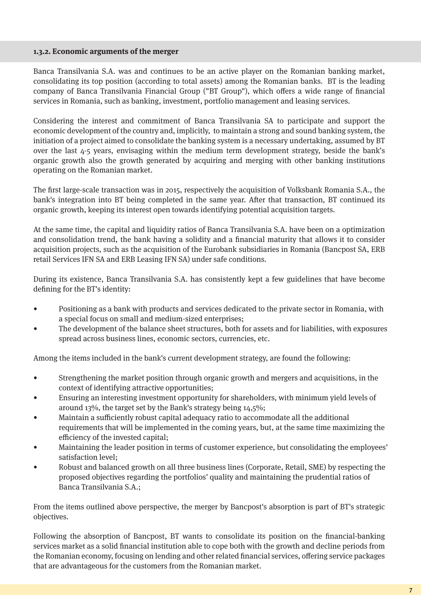#### **1.3.2. Economic arguments of the merger**

Banca Transilvania S.A. was and continues to be an active player on the Romanian banking market, consolidating its top position (according to total assets) among the Romanian banks. BT is the leading company of Banca Transilvania Financial Group ("BT Group"), which offers a wide range of financial services in Romania, such as banking, investment, portfolio management and leasing services.

Considering the interest and commitment of Banca Transilvania SA to participate and support the economic development of the country and, implicitly, to maintain a strong and sound banking system, the initiation of a project aimed to consolidate the banking system is a necessary undertaking, assumed by BT over the last 4-5 years, envisaging within the medium term development strategy, beside the bank's organic growth also the growth generated by acquiring and merging with other banking institutions operating on the Romanian market.

The first large-scale transaction was in 2015, respectively the acquisition of Volksbank Romania S.A., the bank's integration into BT being completed in the same year. After that transaction, BT continued its organic growth, keeping its interest open towards identifying potential acquisition targets.

At the same time, the capital and liquidity ratios of Banca Transilvania S.A. have been on a optimization and consolidation trend, the bank having a solidity and a financial maturity that allows it to consider acquisition projects, such as the acquisition of the Eurobank subsidiaries in Romania (Bancpost SA, ERB retail Services IFN SA and ERB Leasing IFN SA) under safe conditions.

During its existence, Banca Transilvania S.A. has consistently kept a few guidelines that have become defining for the BT's identity:

- Positioning as a bank with products and services dedicated to the private sector in Romania, with a special focus on small and medium-sized enterprises;
- The development of the balance sheet structures, both for assets and for liabilities, with exposures spread across business lines, economic sectors, currencies, etc.

Among the items included in the bank's current development strategy, are found the following:

- Strengthening the market position through organic growth and mergers and acquisitions, in the context of identifying attractive opportunities;
- Ensuring an interesting investment opportunity for shareholders, with minimum yield levels of around 13%, the target set by the Bank's strategy being 14,5%;
- Maintain a sufficiently robust capital adequacy ratio to accommodate all the additional requirements that will be implemented in the coming years, but, at the same time maximizing the efficiency of the invested capital:
- Maintaining the leader position in terms of customer experience, but consolidating the employees' satisfaction level;
- Robust and balanced growth on all three business lines (Corporate, Retail, SME) by respecting the proposed objectives regarding the portfolios' quality and maintaining the prudential ratios of Banca Transilvania S.A.;

From the items outlined above perspective, the merger by Bancpost's absorption is part of BT's strategic objectives.

Following the absorption of Bancpost, BT wants to consolidate its position on the financial-banking services market as a solid financial institution able to cope both with the growth and decline periods from the Romanian economy, focusing on lending and other related financial services, offering service packages that are advantageous for the customers from the Romanian market.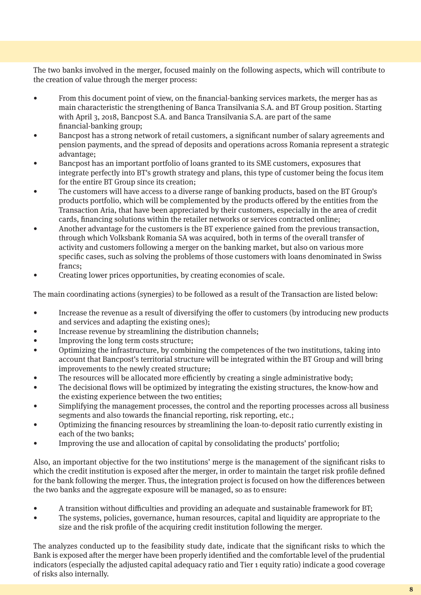The two banks involved in the merger, focused mainly on the following aspects, which will contribute to the creation of value through the merger process:

- From this document point of view, on the financial-banking services markets, the merger has as main characteristic the strengthening of Banca Transilvania S.A. and BT Group position. Starting with April 3, 2018, Bancpost S.A. and Banca Transilvania S.A. are part of the same nancial-banking group;
- Bancpost has a strong network of retail customers, a significant number of salary agreements and pension payments, and the spread of deposits and operations across Romania represent a strategic advantage;
- Bancpost has an important portfolio of loans granted to its SME customers, exposures that integrate perfectly into BT's growth strategy and plans, this type of customer being the focus item for the entire BT Group since its creation;
- The customers will have access to a diverse range of banking products, based on the BT Group's products portfolio, which will be complemented by the products offered by the entities from the Transaction Aria, that have been appreciated by their customers, especially in the area of credit cards, financing solutions within the retailer networks or services contracted online;
- Another advantage for the customers is the BT experience gained from the previous transaction, through which Volksbank Romania SA was acquired, both in terms of the overall transfer of activity and customers following a merger on the banking market, but also on various more specific cases, such as solving the problems of those customers with loans denominated in Swiss francs;
- Creating lower prices opportunities, by creating economies of scale.

The main coordinating actions (synergies) to be followed as a result of the Transaction are listed below:

- Increase the revenue as a result of diversifying the offer to customers (by introducing new products and services and adapting the existing ones);
- Increase revenue by streamlining the distribution channels;
- Improving the long term costs structure;
- Optimizing the infrastructure, by combining the competences of the two institutions, taking into account that Bancpost's territorial structure will be integrated within the BT Group and will bring improvements to the newly created structure;
- The resources will be allocated more efficiently by creating a single administrative body;
- The decisional flows will be optimized by integrating the existing structures, the know-how and the existing experience between the two entities;
- Simplifying the management processes, the control and the reporting processes across all business segments and also towards the financial reporting, risk reporting, etc.;
- Optimizing the nancing resources by streamlining the loan-to-deposit ratio currently existing in each of the two banks;
- Improving the use and allocation of capital by consolidating the products' portfolio;

Also, an important objective for the two institutions' merge is the management of the signicant risks to which the credit institution is exposed after the merger, in order to maintain the target risk profile defined for the bank following the merger. Thus, the integration project is focused on how the differences between the two banks and the aggregate exposure will be managed, so as to ensure:

- A transition without difficulties and providing an adequate and sustainable framework for BT;
- The systems, policies, governance, human resources, capital and liquidity are appropriate to the size and the risk profile of the acquiring credit institution following the merger.

The analyzes conducted up to the feasibility study date, indicate that the significant risks to which the Bank is exposed after the merger have been properly identified and the comfortable level of the prudential indicators (especially the adjusted capital adequacy ratio and Tier 1 equity ratio) indicate a good coverage of risks also internally.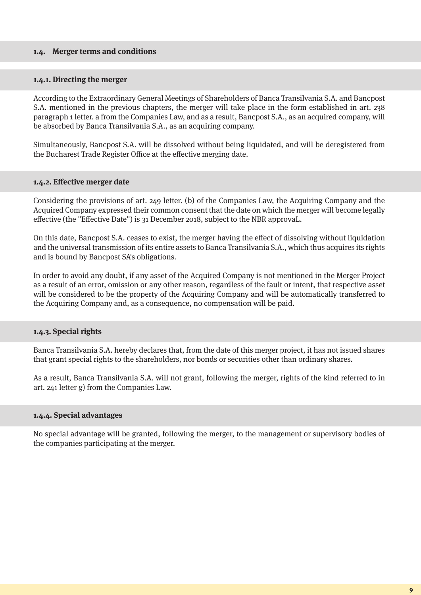#### **1.4. Merger terms and conditions**

#### **1.4.1. Directing the merger**

According to the Extraordinary General Meetings of Shareholders of Banca Transilvania S.A. and Bancpost S.A. mentioned in the previous chapters, the merger will take place in the form established in art. 238 paragraph 1 letter. a from the Companies Law, and as a result, Bancpost S.A., as an acquired company, will be absorbed by Banca Transilvania S.A., as an acquiring company.

Simultaneously, Bancpost S.A. will be dissolved without being liquidated, and will be deregistered from the Bucharest Trade Register Office at the effective merging date.

#### **1.4.2. Effective merger date**

Considering the provisions of art. 249 letter. (b) of the Companies Law, the Acquiring Company and the Acquired Company expressed their common consent that the date on which the merger will become legally effective (the "Effective Date") is 31 December 2018, subject to the NBR approval.

On this date, Bancpost S.A. ceases to exist, the merger having the effect of dissolving without liquidation and the universal transmission of its entire assets to Banca Transilvania S.A., which thus acquires its rights and is bound by Bancpost SA's obligations.

In order to avoid any doubt, if any asset of the Acquired Company is not mentioned in the Merger Project as a result of an error, omission or any other reason, regardless of the fault or intent, that respective asset will be considered to be the property of the Acquiring Company and will be automatically transferred to the Acquiring Company and, as a consequence, no compensation will be paid.

#### **1.4.3. Special rights**

Banca Transilvania S.A. hereby declares that, from the date of this merger project, it has not issued shares that grant special rights to the shareholders, nor bonds or securities other than ordinary shares.

As a result, Banca Transilvania S.A. will not grant, following the merger, rights of the kind referred to in art. 241 letter g) from the Companies Law.

#### **1.4.4. Special advantages**

No special advantage will be granted, following the merger, to the management or supervisory bodies of the companies participating at the merger.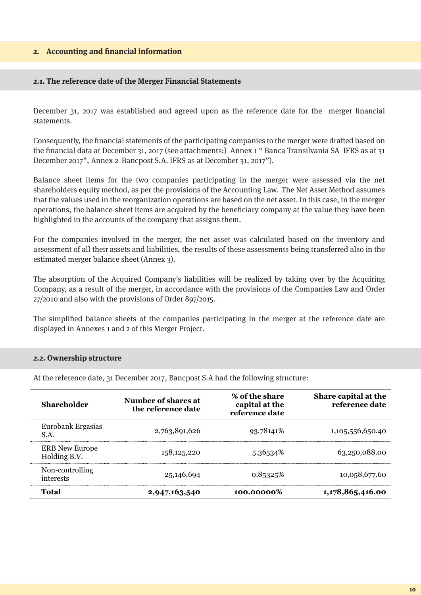#### **2.** Accounting and financial information

#### **2.1. The reference date of the Merger Financial Statements**

December 31, 2017 was established and agreed upon as the reference date for the merger financial statements.

Consequently, the financial statements of the participating companies to the merger were drafted based on the financial data at December 31, 2017 (see attachments:) Annex 1 " Banca Transilvania SA IFRS as at 31 December 2017", Annex 2 Bancpost S.A. IFRS as at December 31, 2017").

Balance sheet items for the two companies participating in the merger were assessed via the net shareholders equity method, as per the provisions of the Accounting Law. The Net Asset Method assumes that the values used in the reorganization operations are based on the net asset. In this case, in the merger operations, the balance-sheet items are acquired by the beneficiary company at the value they have been highlighted in the accounts of the company that assigns them.

For the companies involved in the merger, the net asset was calculated based on the inventory and assessment of all their assets and liabilities, the results of these assessments being transferred also in the estimated merger balance sheet (Annex 3).

The absorption of the Acquired Company's liabilities will be realized by taking over by the Acquiring Company, as a result of the merger, in accordance with the provisions of the Companies Law and Order 27/2010 and also with the provisions of Order 897/2015.

The simplied balance sheets of the companies participating in the merger at the reference date are displayed in Annexes 1 and 2 of this Merger Project.

#### **2.2. Ownership structure**

At the reference date, 31 December 2017, Bancpost S.A had the following structure:

| <b>Shareholder</b>                    | Number of shares at<br>the reference date | % of the share<br>capital at the<br>reference date | Share capital at the<br>reference date |
|---------------------------------------|-------------------------------------------|----------------------------------------------------|----------------------------------------|
| Eurobank Ergasias<br>S.A.             | 2,763,891,626                             | 93.78141\%                                         | 1,105,556,650.40                       |
| <b>ERB</b> New Europe<br>Holding B.V. | 158, 125, 220                             | 5.36534%                                           | 63,250,088.00                          |
| Non-controlling<br>interests          | 25,146,694                                | 0.85325%                                           | 10,058,677.60                          |
| Total                                 | 2,947,163,540                             | 100.00000%                                         | 1,178,865,416.00                       |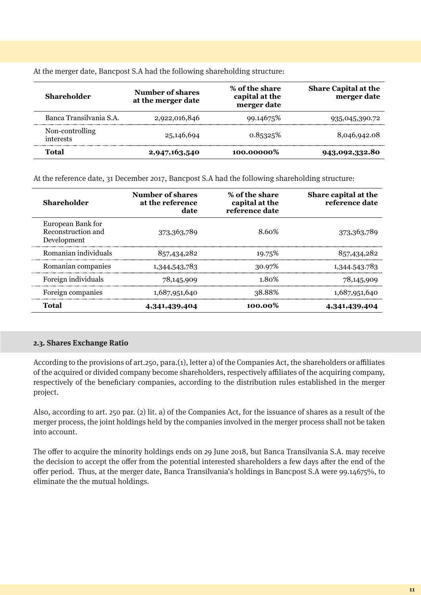At the merger date, Bancpost S.A had the following shareholding structure:

| <b>Shareholder</b>           | Number of shares<br>at the merger date | % of the share<br>capital at the<br>merger date | <b>Share Capital at the</b><br>merger date |
|------------------------------|----------------------------------------|-------------------------------------------------|--------------------------------------------|
| Banca Transilvania S.A.      | 2,922,016,846                          | 99.14675\%                                      | 935,045,390.72                             |
| Non-controlling<br>interests | 25,146,694                             | 0.85325%                                        | 8,046,942.08                               |
| Total                        | 2,947,163,540                          | 100.00000%                                      | 943,092,332.80                             |

At the reference date, 31 December 2017, Bancpost S.A had the following shareholding structure:

| <b>Shareholder</b>                                     | Number of shares<br>at the reference<br>date | % of the share<br>capital at the<br>reference date | Share capital at the<br>reference date |
|--------------------------------------------------------|----------------------------------------------|----------------------------------------------------|----------------------------------------|
| European Bank for<br>Reconstruction and<br>Development | 373, 363, 789                                | 8.60%                                              | 373, 363, 789                          |
| Romanian individuals                                   | 857,434,282                                  | 19.75%                                             | 857,434,282                            |
| Romanian companies                                     | 1,344,543,783                                | 30.97%                                             | 1,344.543.783                          |
| Foreign individuals                                    | 78,145,909                                   | 1.80%                                              | 78,145,909                             |
| Foreign companies                                      | 1,687,951,640                                | 38.88%                                             | 1,687,951,640                          |
| <b>Total</b>                                           | 4,341,439,404                                | 100.00%                                            | 4,341,439,404                          |

#### **2.3. Shares Exchange Ratio**

According to the provisions of art.250, para. $(1)$ , letter a) of the Companies Act, the shareholders or affiliates of the acquired or divided company become shareholders, respectively aliates of the acquiring company, respectively of the beneficiary companies, according to the distribution rules established in the merger project.

Also, according to art. 250 par. (2) lit. a) of the Companies Act, for the issuance of shares as a result of the merger process, the joint holdings held by the companies involved in the merger process shall not be taken into account.

The offer to acquire the minority holdings ends on 29 June 2018, but Banca Transilvania S.A. may receive the decision to accept the offer from the potential interested shareholders a few days after the end of the offer period. Thus, at the merger date, Banca Transilvania's holdings in Bancpost S.A were 99.14675%, to eliminate the the mutual holdings.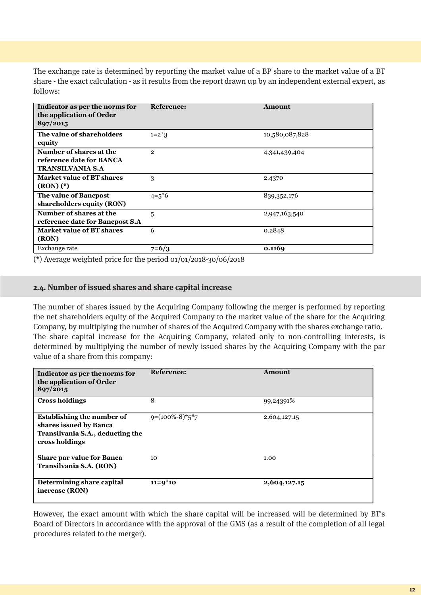The exchange rate is determined by reporting the market value of a BP share to the market value of a BT share - the exact calculation - as it results from the report drawn up by an independent external expert, as follows:

| Indicator as per the norms for<br>the application of Order<br>897/2015         | <b>Reference:</b> | Amount         |
|--------------------------------------------------------------------------------|-------------------|----------------|
| The value of shareholders<br>equity                                            | $1=2*3$           | 10,580,087,828 |
| Number of shares at the<br>reference date for BANCA<br><b>TRANSILVANIA S.A</b> | $\mathfrak{D}$    | 4,341,439,404  |
| <b>Market value of BT shares</b><br>$(RON)$ $(*)$                              | 3                 | 2.4370         |
| The value of Bancpost<br>shareholders equity (RON)                             | $4 = 5*6$         | 839, 352, 176  |
| Number of shares at the<br>reference date for Bancpost S.A                     | 5                 | 2,947,163,540  |
| Market value of BT shares<br>(RON)                                             | 6                 | 0.2848         |
| Exchange rate                                                                  | $7=6/3$           | 0.1169         |

(\*) Average weighted price for the period 01/01/2018-30/06/2018

#### **2.4. Number of issued shares and share capital increase**

The number of shares issued by the Acquiring Company following the merger is performed by reporting the net shareholders equity of the Acquired Company to the market value of the share for the Acquiring Company, by multiplying the number of shares of the Acquired Company with the shares exchange ratio. The share capital increase for the Acquiring Company, related only to non-controlling interests, is determined by multiplying the number of newly issued shares by the Acquiring Company with the par value of a share from this company:

| Indicator as per the norms for<br>the application of Order<br>897/2015                                            | <b>Reference:</b>   | Amount       |
|-------------------------------------------------------------------------------------------------------------------|---------------------|--------------|
| <b>Cross holdings</b>                                                                                             | 8                   | 99,24391%    |
| <b>Establishing the number of</b><br>shares issued by Banca<br>Transilvania S.A., deducting the<br>cross holdings | $9=(100\% - 8)*5*7$ | 2,604,127.15 |
| <b>Share par value for Banca</b><br>Transilvania S.A. (RON)                                                       | 10                  | 1.00         |
| Determining share capital<br>increase (RON)                                                                       | $11=9*10$           | 2,604,127.15 |

However, the exact amount with which the share capital will be increased will be determined by BT's Board of Directors in accordance with the approval of the GMS (as a result of the completion of all legal procedures related to the merger).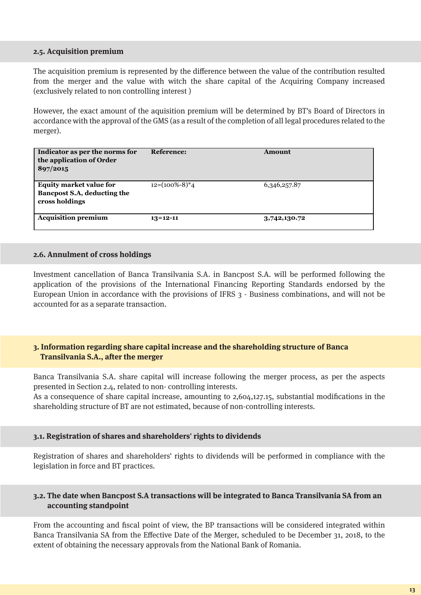#### **2.5. Acquisition premium**

The acquisition premium is represented by the difference between the value of the contribution resulted from the merger and the value with witch the share capital of the Acquiring Company increased (exclusively related to non controlling interest )

However, the exact amount of the aquisition premium will be determined by BT's Board of Directors in accordance with the approval of the GMS (as a result of the completion of all legal procedures related to the merger).

| Indicator as per the norms for<br>the application of Order<br>897/2015          | Reference:         | Amount       |
|---------------------------------------------------------------------------------|--------------------|--------------|
| <b>Equity market value for</b><br>Bancpost S.A, deducting the<br>cross holdings | $12=(100\% - 8)*4$ | 6,346,257.87 |
| <b>Acquisition premium</b>                                                      | $13 = 12 - 11$     | 3,742,130.72 |

#### **2.6. Annulment of cross holdings**

Investment cancellation of Banca Transilvania S.A. in Bancpost S.A. will be performed following the application of the provisions of the International Financing Reporting Standards endorsed by the European Union in accordance with the provisions of IFRS 3 - Business combinations, and will not be accounted for as a separate transaction.

#### **3. Information regarding share capital increase and the shareholding structure of Banca Transilvania S.A., after the merger**

Banca Transilvania S.A. share capital will increase following the merger process, as per the aspects presented in Section 2.4, related to non- controlling interests.

As a consequence of share capital increase, amounting to 2,604,127.15, substantial modifications in the shareholding structure of BT are not estimated, because of non-controlling interests.

#### **3.1. Registration of shares and shareholders' rights to dividends**

Registration of shares and shareholders' rights to dividends will be performed in compliance with the legislation in force and BT practices.

#### **3.2. The date when Bancpost S.A transactions will be integrated to Banca Transilvania SA from an accounting standpoint**

From the accounting and fiscal point of view, the BP transactions will be considered integrated within Banca Transilvania SA from the Effective Date of the Merger, scheduled to be December 31, 2018, to the extent of obtaining the necessary approvals from the National Bank of Romania.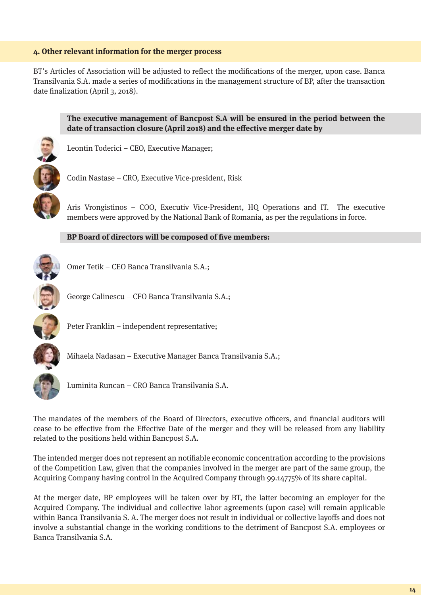#### **4. Other relevant information for the merger process**

BT's Articles of Association will be adjusted to reflect the modifications of the merger, upon case. Banca Transilvania S.A. made a series of modifications in the management structure of BP, after the transaction date finalization (April 3, 2018).



**The executive management of Bancpost S.A will be ensured in the period between the**  date of transaction closure (April 2018) and the effective merger date by

Leontin Toderici – CEO, Executive Manager;

Codin Nastase – CRO, Executive Vice-president, Risk

Aris Vrongistinos – COO, Executiv Vice-President, HQ Operations and IT. The executive members were approved by the National Bank of Romania, as per the regulations in force.

#### **BP Board of directors will be composed of five members:**



Omer Tetik – CEO Banca Transilvania S.A.;



George Calinescu – CFO Banca Transilvania S.A.;



Peter Franklin – independent representative;



Luminita Runcan – CRO Banca Transilvania S.A.

Mihaela Nadasan – Executive Manager Banca Transilvania S.A.;

The mandates of the members of the Board of Directors, executive officers, and financial auditors will cease to be effective from the Effective Date of the merger and they will be released from any liability related to the positions held within Bancpost S.A.

The intended merger does not represent an notifiable economic concentration according to the provisions of the Competition Law, given that the companies involved in the merger are part of the same group, the Acquiring Company having control in the Acquired Company through 99.14775% of its share capital.

At the merger date, BP employees will be taken over by BT, the latter becoming an employer for the Acquired Company. The individual and collective labor agreements (upon case) will remain applicable within Banca Transilvania S. A. The merger does not result in individual or collective layoffs and does not involve a substantial change in the working conditions to the detriment of Bancpost S.A. employees or Banca Transilvania S.A.